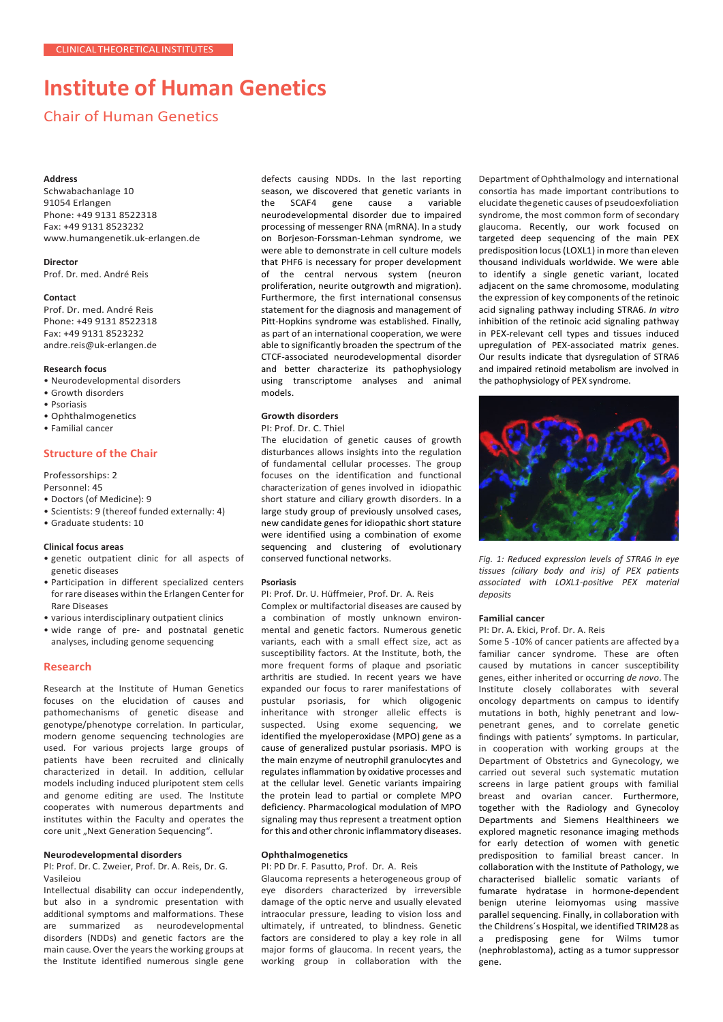# **Institute of Human Genetics**

## Chair of Human Genetics

## **Address**

Schwabachanlage 10 91054 Erlangen Phone: +49 9131 8522318 Fax: +49 9131 8523232 [www.humangenetik.uk-erlangen.de](http://www.humangenetik.uk-erlangen.de/)

**Director** Prof. Dr. med. André Reis

#### **Contact**

Prof. Dr. med. André Reis Phone: +49 9131 8522318 Fax: +49 9131 8523232 [andre.reis@uk-erlangen.de](mailto:andre.reis@uk-erlangen.de)

## **Research focus**

• Neurodevelopmental disorders

- Growth disorders
- Psoriasis
- Ophthalmogenetics
- Familial cancer

## **Structure of the Chair**

Professorships: 2

Personnel: 45

- Doctors (of Medicine): 9
- Scientists: 9 (thereof funded externally: 4)
- Graduate students: 10

#### **Clinical focus areas**

- genetic outpatient clinic for all aspects of genetic diseases
- Participation in different specialized centers for rare diseases within the Erlangen Center for Rare Diseases
- various interdisciplinary outpatient clinics
- wide range of pre- and postnatal genetic analyses, including genome sequencing

## **Research**

Research at the Institute of Human Genetics focuses on the elucidation of causes and pathomechanisms of genetic disease and genotype/phenotype correlation. In particular, modern genome sequencing technologies are used. For various projects large groups of patients have been recruited and clinically characterized in detail. In addition, cellular models including induced pluripotent stem cells and genome editing are used. The Institute cooperates with numerous departments and institutes within the Faculty and operates the core unit "Next Generation Sequencing".

## **Neurodevelopmental disorders**

PI: Prof. Dr. C. Zweier, Prof. Dr. A. Reis, Dr. G. Vasileiou

Intellectual disability can occur independently, but also in a syndromic presentation with additional symptoms and malformations. These are summarized as neurodevelopmental disorders (NDDs) and genetic factors are the main cause. Over the years the working groups at the Institute identified numerous single gene defects causing NDDs. In the last reporting season, we discovered that genetic variants in the SCAF4 gene cause a variable neurodevelopmental disorder due to impaired processing of messenger RNA (mRNA). In a study on Borjeson-Forssman-Lehman syndrome, we were able to demonstrate in cell culture models that PHF6 is necessary for proper development of the central nervous system (neuron proliferation, neurite outgrowth and migration). Furthermore, the first international consensus statement for the diagnosis and management of Pitt-Hopkins syndrome was established. Finally, as part of an international cooperation, we were able to significantly broaden the spectrum of the CTCF-associated neurodevelopmental disorder and better characterize its pathophysiology using transcriptome analyses and animal models.

## **Growth disorders**

### PI: Prof. Dr. C. Thiel

The elucidation of genetic causes of growth disturbances allows insights into the regulation of fundamental cellular processes. The group focuses on the identification and functional characterization of genes involved in idiopathic short stature and ciliary growth disorders. In a large study group of previously unsolved cases, new candidate genes for idiopathic short stature were identified using a combination of exome sequencing and clustering of evolutionary conserved functional networks.

## **Psoriasis**

PI: Prof. Dr. U. Hüffmeier, Prof. Dr. A. Reis

Complex or multifactorial diseases are caused by a combination of mostly unknown environmental and genetic factors. Numerous genetic variants, each with a small effect size, act as susceptibility factors. At the Institute, both, the more frequent forms of plaque and psoriatic arthritis are studied. In recent years we have expanded our focus to rarer manifestations of pustular psoriasis, for which oligogenic inheritance with stronger allelic effects is suspected. Using exome sequencing, we identified the myeloperoxidase (MPO) gene as a cause of generalized pustular psoriasis. MPO is the main enzyme of neutrophil granulocytes and regulates inflammation by oxidative processes and at the cellular level. Genetic variants impairing the protein lead to partial or complete MPO deficiency. Pharmacological modulation of MPO signaling may thus represent a treatment option for this and other chronic inflammatory diseases.

## **Ophthalmogenetics**

PI: PD Dr. F. Pasutto, Prof. Dr. A. Reis

Glaucoma represents a heterogeneous group of eye disorders characterized by irreversible damage of the optic nerve and usually elevated intraocular pressure, leading to vision loss and ultimately, if untreated, to blindness. Genetic factors are considered to play a key role in all major forms of glaucoma. In recent years, the working group in collaboration with the

Department of Ophthalmology and international consortia has made important contributions to elucidate the genetic causes of pseudoexfoliation syndrome, the most common form of secondary glaucoma. Recently, our work focused on targeted deep sequencing of the main PEX predisposition locus (LOXL1) in more than eleven thousand individuals worldwide. We were able to identify a single genetic variant, located adjacent on the same chromosome, modulating the expression of key components of the retinoic acid signaling pathway including STRA6. *In vitro* inhibition of the retinoic acid signaling pathway in PEX-relevant cell types and tissues induced upregulation of PEX-associated matrix genes. Our results indicate that dysregulation of STRA6 and impaired retinoid metabolism are involved in the pathophysiology of PEX syndrome.



*Fig. 1: Reduced expression levels of STRA6 in eye tissues (ciliary body and iris) of PEX patients associated with LOXL1-positive PEX material deposits*

## **Familial cancer**

## PI: Dr. A. Ekici, Prof. Dr. A. Reis

Some 5 -10% of cancer patients are affected by a familiar cancer syndrome. These are often caused by mutations in cancer susceptibility genes, either inherited or occurring *de novo*. The Institute closely collaborates with several oncology departments on campus to identify mutations in both, highly penetrant and lowpenetrant genes, and to correlate genetic findings with patients' symptoms. In particular, in cooperation with working groups at the Department of Obstetrics and Gynecology, we carried out several such systematic mutation screens in large patient groups with familial breast and ovarian cancer. Furthermore, together with the Radiology and Gynecoloy Departments and Siemens Healthineers we explored magnetic resonance imaging methods for early detection of women with genetic predisposition to familial breast cancer. In collaboration with the Institute of Pathology, we characterised biallelic somatic variants of fumarate hydratase in hormone-dependent benign uterine leiomyomas using massive parallel sequencing. Finally, in collaboration with the Childrens´s Hospital, we identified TRIM28 as a predisposing gene for Wilms tumor (nephroblastoma), acting as a tumor suppressor gene.